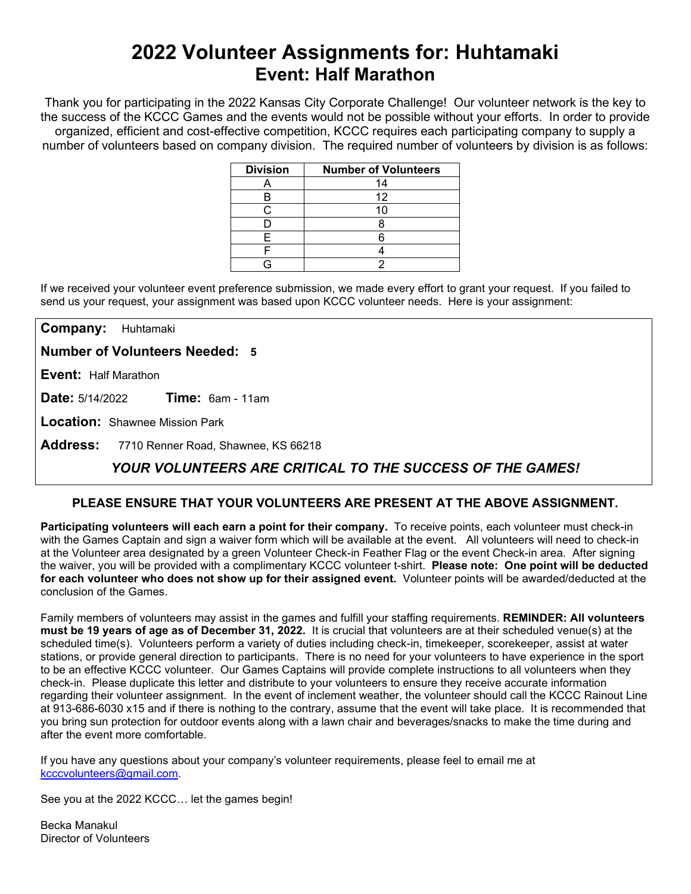## **2022 Volunteer Assignments for: Huhtamaki Event: Half Marathon**

Thank you for participating in the 2022 Kansas City Corporate Challenge! Our volunteer network is the key to the success of the KCCC Games and the events would not be possible without your efforts. In order to provide organized, efficient and cost-effective competition, KCCC requires each participating company to supply a number of volunteers based on company division. The required number of volunteers by division is as follows:

| <b>Division</b> | <b>Number of Volunteers</b> |
|-----------------|-----------------------------|
|                 | 14                          |
| Н               | 12                          |
|                 | 10                          |
|                 |                             |
|                 |                             |
|                 |                             |
|                 |                             |

If we received your volunteer event preference submission, we made every effort to grant your request. If you failed to send us your request, your assignment was based upon KCCC volunteer needs. Here is your assignment:

**Company:** Huhtamaki

**Number of Volunteers Needed: 5**

**Event:** Half Marathon

**Date:** 5/14/2022 **Time:** 6am - 11am

**Location:** Shawnee Mission Park

**Address:** 7710 Renner Road, Shawnee, KS 66218

## *YOUR VOLUNTEERS ARE CRITICAL TO THE SUCCESS OF THE GAMES!*

### **PLEASE ENSURE THAT YOUR VOLUNTEERS ARE PRESENT AT THE ABOVE ASSIGNMENT.**

**Participating volunteers will each earn a point for their company.** To receive points, each volunteer must check-in with the Games Captain and sign a waiver form which will be available at the event. All volunteers will need to check-in at the Volunteer area designated by a green Volunteer Check-in Feather Flag or the event Check-in area. After signing the waiver, you will be provided with a complimentary KCCC volunteer t-shirt. **Please note: One point will be deducted for each volunteer who does not show up for their assigned event.** Volunteer points will be awarded/deducted at the conclusion of the Games.

Family members of volunteers may assist in the games and fulfill your staffing requirements. **REMINDER: All volunteers must be 19 years of age as of December 31, 2022.** It is crucial that volunteers are at their scheduled venue(s) at the scheduled time(s). Volunteers perform a variety of duties including check-in, timekeeper, scorekeeper, assist at water stations, or provide general direction to participants. There is no need for your volunteers to have experience in the sport to be an effective KCCC volunteer. Our Games Captains will provide complete instructions to all volunteers when they check-in. Please duplicate this letter and distribute to your volunteers to ensure they receive accurate information regarding their volunteer assignment. In the event of inclement weather, the volunteer should call the KCCC Rainout Line at 913-686-6030 x15 and if there is nothing to the contrary, assume that the event will take place. It is recommended that you bring sun protection for outdoor events along with a lawn chair and beverages/snacks to make the time during and after the event more comfortable.

If you have any questions about your company's volunteer requirements, please feel to email me at [kcccvolunteers@gmail.com.](mailto:kcccvolunteers@gmail.com)

See you at the 2022 KCCC… let the games begin!

Becka Manakul Director of Volunteers